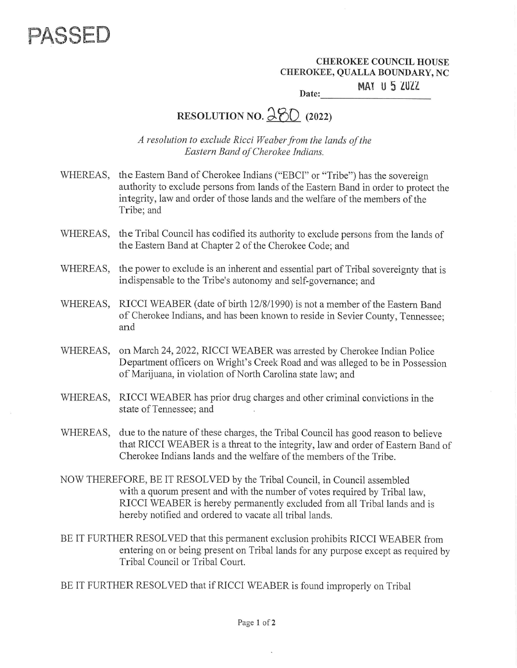

CHEROKEE COUNCIL HOUSE CHEROKEE, QUALLA BOUNDARY, NC EREROKEE CHEROKEE<br>EE, QUALLA<br>MAY

MAY U5 ZUzZ Date:

## RESOLUTION NO.  $250$  (2022)

A resolution to exclude Ricci Weaber from the lands of the Eastern Band of Cherokee Indians.

- WHEREAS, the Eastern Band of Cherokee Indians ("EBCI" or "Tribe") has the sovereign authority to exclude persons from lands of the Eastern Band in order to protect the integrity, law and order of those lands and the welfare of the members of the Tribe; and
- WHEREAS, the Tribal Council has codified its authority to exclude persons from the lands of the Eastern Band at Chapter 2 of the Cherokee Code; and
- WHEREAS, the power to exclude is an inherent and essential part of Tribal sovereignty that is indispensable to the Tribe's autonomy and self-governance; and
- WHEREAS, RICCI WEABER (date of birth 12/8/1990) is not a member of the Eastern Band of Cherokee Indians, and has been known to reside in Sevier County, Tennessee; and
- WHEREAS, on March 24, 2022, RICCI WEABER was arrested by Cherokee Indian Police Department officers on Wright's Creek Road and was alleged to be in Possession of Marijuana, in violation of North Carolina state law; and
- WHEREAS, RICCI WEABER has prior drug charges and other criminal convictions in the state of Tennessee; and
- WHEREAS, due to the nature of these charges, the Tribal Council has good reason to believe that RICCI WEABER is a threat to the integrity, law and order of Eastern Band of Cherokee Indians lands and the welfare of the members of the Tribe.
- NOW THEREFORE, BE IT RESOLVED by the Tribal Council, in Council assembled with a quorum present and with the number of votes required by Tribal law, RICCI WEABER is hereby permanently excluded from all Tribal lands and is hereby notified and ordered to vacate all tribal lands.
- BE IT FURTHER RESOLVED that this permanent exclusion prohibits RICCI WEABER from entering on or being present on Tribal lands for any purpose except as required by Tribal Council or Tribal Court.

BE IT FURTHER RESOLVED that if RICCI WEABER is found improperly on Tribal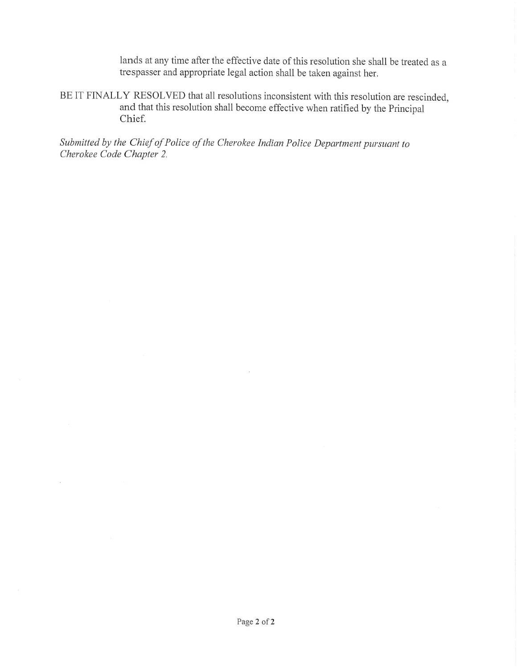lands at any time after the effective date of this resolution she shall be treated as a trespasser and appropriate legal action shall be taken against her.

BEIT FINALLY RESOLVED that all resolutions inconsistent with this resolution are rescinded, and that this resolution shall become effective when ratified by the Principal Chief.

Submitted by the Chief of Police of the Cherokee Indian Police Department pursuant to Cherokee Code Chapter 2.